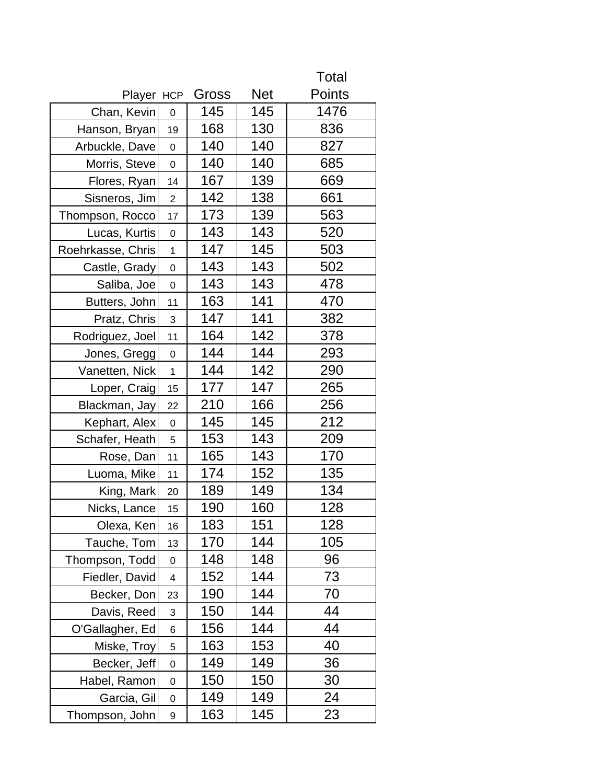Total

| Player HCP        |                  | Gross | <b>Net</b> | Points |
|-------------------|------------------|-------|------------|--------|
| Chan, Kevin       | 0                | 145   | 145        | 1476   |
| Hanson, Bryan     | 19               | 168   | 130        | 836    |
| Arbuckle, Dave    | $\mathbf 0$      | 140   | 140        | 827    |
| Morris, Steve     | $\mathbf 0$      | 140   | 140        | 685    |
| Flores, Ryan      | 14               | 167   | 139        | 669    |
| Sisneros, Jim     | $\overline{2}$   | 142   | 138        | 661    |
| Thompson, Rocco   | 17               | 173   | 139        | 563    |
| Lucas, Kurtis     | 0                | 143   | 143        | 520    |
| Roehrkasse, Chris | $\mathbf 1$      | 147   | 145        | 503    |
| Castle, Grady     | $\mathbf 0$      | 143   | 143        | 502    |
| Saliba, Joe       | $\mathbf 0$      | 143   | 143        | 478    |
| Butters, John     | 11               | 163   | 141        | 470    |
| Pratz, Chris      | 3                | 147   | 141        | 382    |
| Rodriguez, Joel   | 11               | 164   | 142        | 378    |
| Jones, Gregg      | $\boldsymbol{0}$ | 144   | 144        | 293    |
| Vanetten, Nick    | $\mathbf 1$      | 144   | 142        | 290    |
| Loper, Craig      | 15               | 177   | 147        | 265    |
| Blackman, Jay     | 22               | 210   | 166        | 256    |
| Kephart, Alex     | $\mathbf 0$      | 145   | 145        | 212    |
| Schafer, Heath    | 5                | 153   | 143        | 209    |
| Rose, Dan         | 11               | 165   | 143        | 170    |
| Luoma, Mike       | 11               | 174   | 152        | 135    |
| King, Mark        | 20               | 189   | 149        | 134    |
| Nicks, Lance      | 15               | 190   | 160        | 128    |
| Olexa, Ken        | 16               | 183   | 151        | 128    |
| Tauche, Tom       | 13               | 170   | 144        | 105    |
| Thompson, Todd    | 0                | 148   | 148        | 96     |
| Fiedler, David    | 4                | 152   | 144        | 73     |
| Becker, Don       | 23               | 190   | 144        | 70     |
| Davis, Reed       | 3                | 150   | 144        | 44     |
| O'Gallagher, Ed   | 6                | 156   | 144        | 44     |
| Miske, Troy       | 5                | 163   | 153        | 40     |
| Becker, Jeff      | $\mathbf 0$      | 149   | 149        | 36     |
| Habel, Ramon      | 0                | 150   | 150        | 30     |
| Garcia, Gil       | $\mathbf 0$      | 149   | 149        | 24     |
| Thompson, John    | 9                | 163   | 145        | 23     |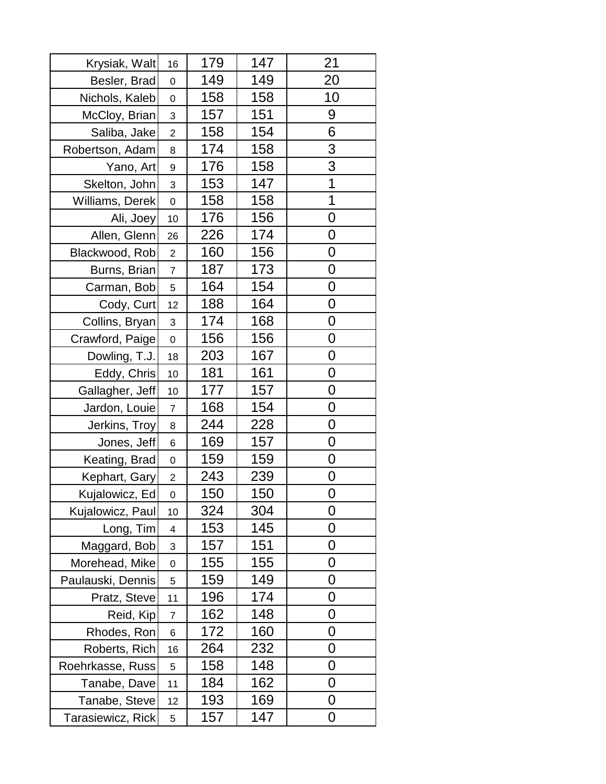| Krysiak, Walt     | 16                      | 179 | 147 | 21                      |
|-------------------|-------------------------|-----|-----|-------------------------|
| Besler, Brad      | $\boldsymbol{0}$        | 149 | 149 | 20                      |
| Nichols, Kaleb    | $\mathbf 0$             | 158 | 158 | 10                      |
| McCloy, Brian     | 3                       | 157 | 151 | 9                       |
| Saliba, Jake      | $\overline{2}$          | 158 | 154 | 6                       |
| Robertson, Adam   | 8                       | 174 | 158 | 3                       |
| Yano, Art         | 9                       | 176 | 158 | 3                       |
| Skelton, John     | 3                       | 153 | 147 | $\overline{\mathbf{1}}$ |
| Williams, Derek   | 0                       | 158 | 158 | 1                       |
| Ali, Joey         | 10                      | 176 | 156 | $\mathbf 0$             |
| Allen, Glenn      | 26                      | 226 | 174 | 0                       |
| Blackwood, Rob    | $\overline{c}$          | 160 | 156 | $\mathbf 0$             |
| Burns, Brian      | $\overline{7}$          | 187 | 173 | 0                       |
| Carman, Bob       | 5                       | 164 | 154 | 0                       |
| Cody, Curt        | 12                      | 188 | 164 | 0                       |
| Collins, Bryan    | 3                       | 174 | 168 | 0                       |
| Crawford, Paige   | $\mathbf 0$             | 156 | 156 | 0                       |
| Dowling, T.J.     | 18                      | 203 | 167 | 0                       |
| Eddy, Chris       | 10                      | 181 | 161 | $\mathbf 0$             |
| Gallagher, Jeff   | 10                      | 177 | 157 | $\mathbf 0$             |
| Jardon, Louie     | $\overline{7}$          | 168 | 154 | $\mathbf 0$             |
| Jerkins, Troy     | 8                       | 244 | 228 | 0                       |
| Jones, Jeff       | 6                       | 169 | 157 | 0                       |
| Keating, Brad     | 0                       | 159 | 159 | 0                       |
| Kephart, Gary     | $\overline{2}$          | 243 | 239 | $\mathbf 0$             |
| Kujalowicz, Ed    | $\Omega$                | 150 | 150 | 0                       |
| Kujalowicz, Paul  | 10                      | 324 | 304 | 0                       |
| Long, Tim         | $\overline{\mathbf{4}}$ | 153 | 145 | 0                       |
| Maggard, Bob      | 3                       | 157 | 151 | 0                       |
| Morehead, Mike    | 0                       | 155 | 155 | 0                       |
| Paulauski, Dennis | 5                       | 159 | 149 | 0                       |
| Pratz, Steve      | 11                      | 196 | 174 | 0                       |
| Reid, Kip         | 7                       | 162 | 148 | 0                       |
| Rhodes, Ron       | 6                       | 172 | 160 | 0                       |
| Roberts, Rich     | 16                      | 264 | 232 | 0                       |
| Roehrkasse, Russ  | 5                       | 158 | 148 | 0                       |
| Tanabe, Dave      | 11                      | 184 | 162 | 0                       |
| Tanabe, Steve     | 12                      | 193 | 169 | 0                       |
| Tarasiewicz, Rick | 5                       | 157 | 147 | 0                       |